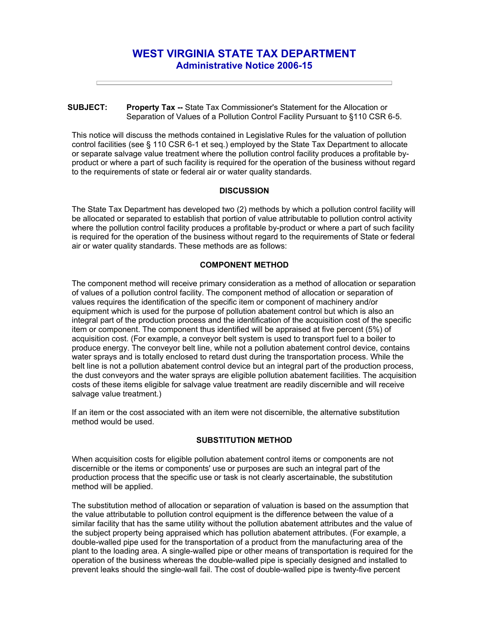# **WEST VIRGINIA STATE TAX DEPARTMENT Administrative Notice 2006-15**

### **SUBJECT: Property Tax --** State Tax Commissioner's Statement for the Allocation or Separation of Values of a Pollution Control Facility Pursuant to §110 CSR 6-5.

This notice will discuss the methods contained in Legislative Rules for the valuation of pollution control facilities (see § 110 CSR 6-1 et seq.) employed by the State Tax Department to allocate or separate salvage value treatment where the pollution control facility produces a profitable byproduct or where a part of such facility is required for the operation of the business without regard to the requirements of state or federal air or water quality standards.

## **DISCUSSION**

The State Tax Department has developed two (2) methods by which a pollution control facility will be allocated or separated to establish that portion of value attributable to pollution control activity where the pollution control facility produces a profitable by-product or where a part of such facility is required for the operation of the business without regard to the requirements of State or federal air or water quality standards. These methods are as follows:

# **COMPONENT METHOD**

The component method will receive primary consideration as a method of allocation or separation of values of a pollution control facility. The component method of allocation or separation of values requires the identification of the specific item or component of machinery and/or equipment which is used for the purpose of pollution abatement control but which is also an integral part of the production process and the identification of the acquisition cost of the specific item or component. The component thus identified will be appraised at five percent (5%) of acquisition cost. (For example, a conveyor belt system is used to transport fuel to a boiler to produce energy. The conveyor belt line, while not a pollution abatement control device, contains water sprays and is totally enclosed to retard dust during the transportation process. While the belt line is not a pollution abatement control device but an integral part of the production process, the dust conveyors and the water sprays are eligible pollution abatement facilities. The acquisition costs of these items eligible for salvage value treatment are readily discernible and will receive salvage value treatment.)

If an item or the cost associated with an item were not discernible, the alternative substitution method would be used.

## **SUBSTITUTION METHOD**

When acquisition costs for eligible pollution abatement control items or components are not discernible or the items or components' use or purposes are such an integral part of the production process that the specific use or task is not clearly ascertainable, the substitution method will be applied.

The substitution method of allocation or separation of valuation is based on the assumption that the value attributable to pollution control equipment is the difference between the value of a similar facility that has the same utility without the pollution abatement attributes and the value of the subject property being appraised which has pollution abatement attributes. (For example, a double-walled pipe used for the transportation of a product from the manufacturing area of the plant to the loading area. A single-walled pipe or other means of transportation is required for the operation of the business whereas the double-walled pipe is specially designed and installed to prevent leaks should the single-wall fail. The cost of double-walled pipe is twenty-five percent